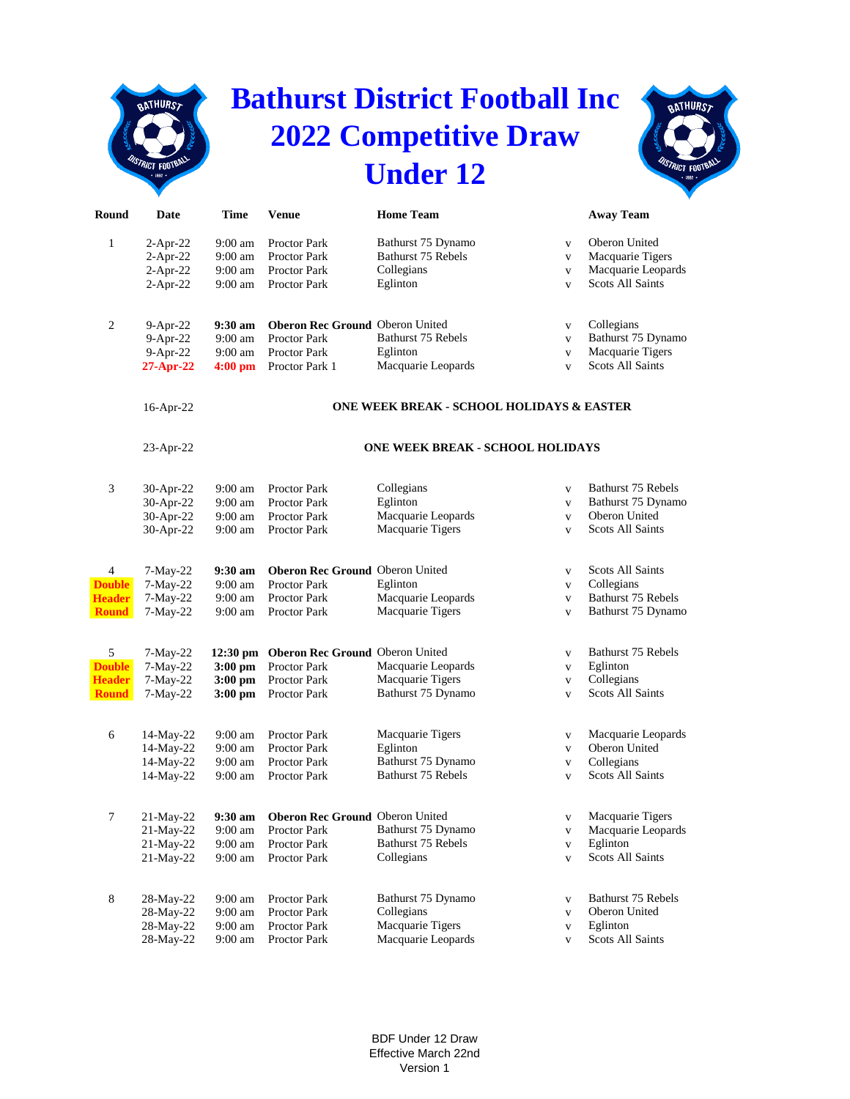## **Bathurst District Football Inc 2022 Competitive Draw Under 12**

**BATHURST** 



| Round         | Date         | Time                                      | <b>Venue</b>                             | <b>Home Team</b>                        |              | <b>Away Team</b>        |  |  |
|---------------|--------------|-------------------------------------------|------------------------------------------|-----------------------------------------|--------------|-------------------------|--|--|
| $\mathbf{1}$  | $2-Apr-22$   | $9:00 \text{ am}$                         | Proctor Park                             | Bathurst 75 Dynamo                      | $\mathbf{V}$ | Oberon United           |  |  |
|               | $2-Apr-22$   | $9:00 \text{ am}$                         | <b>Proctor Park</b>                      | Bathurst 75 Rebels                      | $\mathbf{V}$ | Macquarie Tigers        |  |  |
|               | $2-Apr-22$   | 9:00 am                                   | <b>Proctor Park</b>                      | Collegians                              | $\mathbf{V}$ | Macquarie Leopards      |  |  |
|               | $2-Apr-22$   | 9:00 am                                   | Proctor Park                             | Eglinton                                | $\mathbf{V}$ | <b>Scots All Saints</b> |  |  |
|               |              |                                           |                                          |                                         |              |                         |  |  |
| 2             | $9-Apr-22$   | $9:30$ am                                 | Oberon Rec Ground Oberon United          |                                         | $\mathbf V$  | Collegians              |  |  |
|               | $9-Apr-22$   | $9:00$ am                                 | <b>Proctor Park</b>                      | Bathurst 75 Rebels                      | $\mathbf{V}$ | Bathurst 75 Dynamo      |  |  |
|               | $9-Apr-22$   | $9:00 \text{ am}$                         | <b>Proctor Park</b>                      | Eglinton                                | $\mathbf{V}$ | Macquarie Tigers        |  |  |
|               | $27-Apr-22$  | $4:00 \text{ pm}$                         | Proctor Park 1                           | Macquarie Leopards                      | $\mathbf{V}$ | <b>Scots All Saints</b> |  |  |
|               | 16-Apr-22    | ONE WEEK BREAK - SCHOOL HOLIDAYS & EASTER |                                          |                                         |              |                         |  |  |
|               | $23$ -Apr-22 |                                           |                                          | <b>ONE WEEK BREAK - SCHOOL HOLIDAYS</b> |              |                         |  |  |
| 3             | 30-Apr-22    | $9:00 \text{ am}$                         | Proctor Park                             | Collegians                              | $\mathbf{V}$ | Bathurst 75 Rebels      |  |  |
|               | 30-Apr-22    | 9:00 am                                   | <b>Proctor Park</b>                      | Eglinton                                | $\mathbf{V}$ | Bathurst 75 Dynamo      |  |  |
|               | 30-Apr-22    | 9:00 am                                   | Proctor Park                             | Macquarie Leopards                      | $\mathbf{V}$ | Oberon United           |  |  |
|               | 30-Apr-22    | 9:00 am                                   | <b>Proctor Park</b>                      | Macquarie Tigers                        | $\mathbf{V}$ | <b>Scots All Saints</b> |  |  |
|               |              |                                           |                                          |                                         |              |                         |  |  |
| 4             | $7-May-22$   | $9:30 \text{ am}$                         | Oberon Rec Ground Oberon United          |                                         | $\mathbf V$  | Scots All Saints        |  |  |
| <b>Double</b> | 7-May-22     | $9:00 \text{ am}$                         | <b>Proctor Park</b>                      | Eglinton                                | $\mathbf V$  | Collegians              |  |  |
| <b>Header</b> | 7-May-22     | 9:00 am                                   | <b>Proctor Park</b>                      | Macquarie Leopards                      | $\mathbf{V}$ | Bathurst 75 Rebels      |  |  |
| <b>Round</b>  | $7-May-22$   | 9:00 am                                   | Proctor Park                             | Macquarie Tigers                        | $\mathbf{V}$ | Bathurst 75 Dynamo      |  |  |
| 5             | $7-May-22$   |                                           | 12:30 pm Oberon Rec Ground Oberon United |                                         | V            | Bathurst 75 Rebels      |  |  |
| <b>Double</b> | $7-May-22$   | $3:00 \text{ pm}$                         | Proctor Park                             | Macquarie Leopards                      | $\mathbf V$  | Eglinton                |  |  |
| <b>Header</b> | $7-May-22$   | $3:00 \text{ pm}$                         | Proctor Park                             | Macquarie Tigers                        | $\mathbf{V}$ | Collegians              |  |  |
| <b>Round</b>  | $7-May-22$   | $3:00$ pm                                 | Proctor Park                             | Bathurst 75 Dynamo                      | $\mathbf{V}$ | <b>Scots All Saints</b> |  |  |
|               |              |                                           |                                          |                                         |              |                         |  |  |
| 6             | 14-May-22    | $9:00 \text{ am}$                         | Proctor Park                             | Macquarie Tigers                        | $\mathbf V$  | Macquarie Leopards      |  |  |
|               | $14-May-22$  | 9:00 am                                   | <b>Proctor Park</b>                      | Eglinton                                | $\mathbf{V}$ | Oberon United           |  |  |
|               | 14-May-22    | 9:00 am                                   | Proctor Park                             | Bathurst 75 Dynamo                      | $\mathbf V$  | Collegians              |  |  |
|               | 14-May-22    | 9:00 am                                   | Proctor Park                             | Bathurst 75 Rebels                      | $\mathbf{V}$ | <b>Scots All Saints</b> |  |  |
|               | 21-May-22    |                                           | 9:30 am Oberon Rec Ground Oberon United  |                                         |              | Macquarie Tigers        |  |  |
|               | $21$ -May-22 | $9:00 \text{ am}$                         | Proctor Park                             | Bathurst 75 Dynamo                      | $\mathbf{V}$ | Macquarie Leopards      |  |  |
|               | 21-May-22    | $9:00 \text{ am}$                         | Proctor Park                             | Bathurst 75 Rebels                      | $\mathbf{V}$ | Eglinton                |  |  |
|               | 21-May-22    | $9:00$ am                                 | Proctor Park                             | Collegians                              | $\mathbf{V}$ | <b>Scots All Saints</b> |  |  |
|               |              |                                           |                                          |                                         |              |                         |  |  |
| 8             | 28-May-22    | $9:00 \text{ am}$                         | Proctor Park                             | Bathurst 75 Dynamo                      | $\mathbf{V}$ | Bathurst 75 Rebels      |  |  |
|               | 28-May-22    | 9:00 am                                   | Proctor Park                             | Collegians                              | $\mathbf{V}$ | Oberon United           |  |  |
|               | 28-May-22    | $9:00$ am                                 | Proctor Park                             | Macquarie Tigers                        | $\mathbf{V}$ | Eglinton                |  |  |
|               | 28-May-22    | 9:00 am                                   | Proctor Park                             | Macquarie Leopards                      | $\mathbf V$  | <b>Scots All Saints</b> |  |  |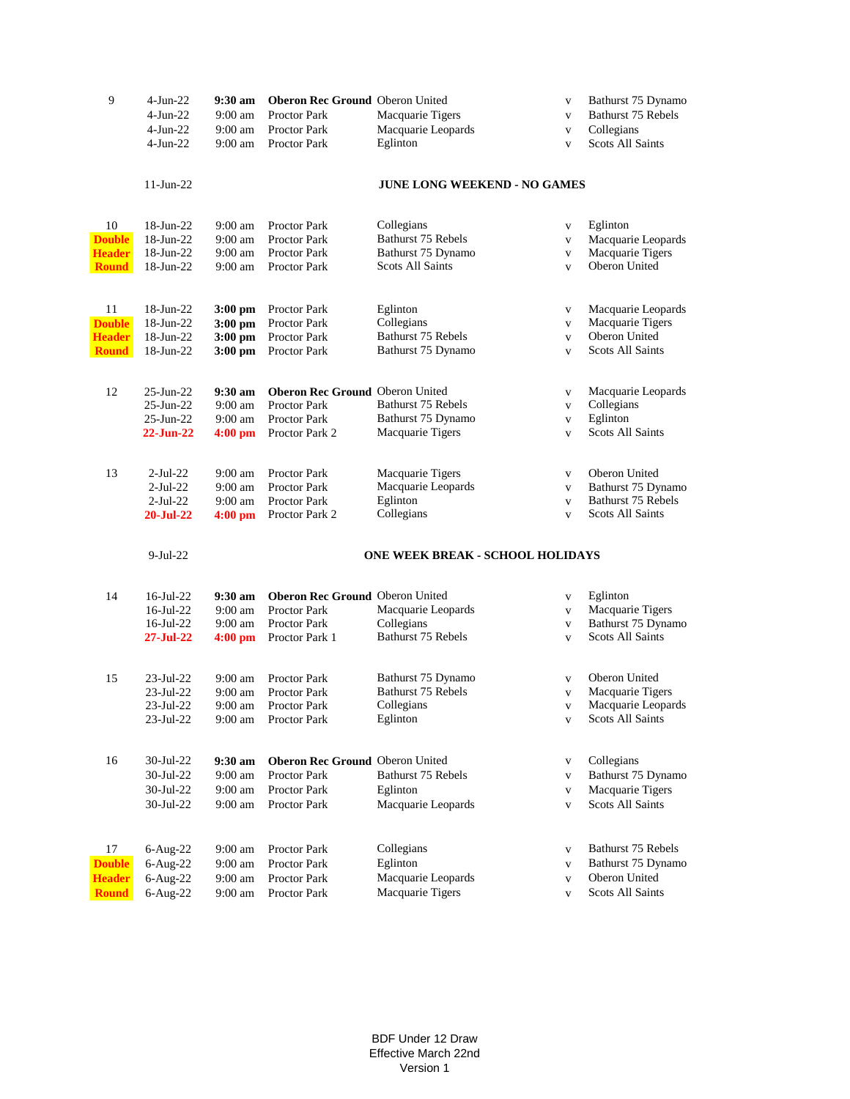| 9             | $4-Jun-22$             | 9:30 am            | <b>Oberon Rec Ground Oberon United</b> |                                         | $\mathbf{V}$                 | Bathurst 75 Dynamo      |
|---------------|------------------------|--------------------|----------------------------------------|-----------------------------------------|------------------------------|-------------------------|
|               | $4-Jun-22$             | $9:00 \text{ am}$  | <b>Proctor Park</b>                    | Macquarie Tigers                        | $\mathbf{V}$                 | Bathurst 75 Rebels      |
|               | $4-Jun-22$             | $9:00 \text{ am}$  | <b>Proctor Park</b>                    | Macquarie Leopards                      | $\mathbf{V}$                 | Collegians              |
|               | $4-Jun-22$             | $9:00 \text{ am}$  | Proctor Park                           | Eglinton                                | $\mathbf{V}$                 | <b>Scots All Saints</b> |
|               |                        |                    |                                        |                                         |                              |                         |
|               | $11-Jun-22$            |                    |                                        | <b>JUNE LONG WEEKEND - NO GAMES</b>     |                              |                         |
|               |                        |                    |                                        |                                         |                              |                         |
| 10            | 18-Jun-22              | $9:00 \text{ am}$  | <b>Proctor Park</b>                    | Collegians                              | $\mathbf V$                  | Eglinton                |
| <b>Double</b> | 18-Jun-22              | $9:00$ am          | Proctor Park                           | Bathurst 75 Rebels                      | $\mathbf V$                  | Macquarie Leopards      |
| <b>Header</b> | 18-Jun-22              | $9:00$ am          | Proctor Park                           | Bathurst 75 Dynamo                      | $\mathbf{V}$                 | Macquarie Tigers        |
| <b>Round</b>  | 18-Jun-22              | $9:00$ am          | Proctor Park                           | <b>Scots All Saints</b>                 | $\mathbf{V}$                 | Oberon United           |
|               |                        |                    |                                        |                                         |                              |                         |
| 11            | 18-Jun-22              | $3:00 \text{ pm}$  | Proctor Park                           | Eglinton                                | $\mathbf{V}$                 | Macquarie Leopards      |
| <b>Double</b> | 18-Jun-22              | $3:00$ pm          | Proctor Park                           | Collegians                              | $\mathbf V$                  | Macquarie Tigers        |
| <b>Header</b> | 18-Jun-22              | $3:00$ pm          | Proctor Park                           | Bathurst 75 Rebels                      | $\mathbf{V}$                 | Oberon United           |
| <b>Round</b>  | 18-Jun-22              | $3:00$ pm          | Proctor Park                           | Bathurst 75 Dynamo                      | $\mathbf{V}$                 | <b>Scots All Saints</b> |
| 12            | $25$ -Jun- $22$        | $9:30 \text{ am}$  | Oberon Rec Ground Oberon United        |                                         | $\mathbf{V}$                 | Macquarie Leopards      |
|               | $25$ -Jun- $22$        | $9:00$ am          | Proctor Park                           | Bathurst 75 Rebels                      | $\mathbf{V}$                 | Collegians              |
|               | $25$ -Jun- $22$        | $9:00 \text{ am}$  | <b>Proctor Park</b>                    | Bathurst 75 Dynamo                      | $\mathbf V$                  | Eglinton                |
|               | 22-Jun-22              | $4:00~\mathrm{pm}$ | Proctor Park 2                         | Macquarie Tigers                        | $\mathbf{V}$                 | <b>Scots All Saints</b> |
|               |                        |                    |                                        |                                         |                              |                         |
| 13            | $2$ -Jul-22            | $9:00 \text{ am}$  | Proctor Park                           | Macquarie Tigers                        | $\mathbf{V}$                 | Oberon United           |
|               | $2-Jul-22$             | $9:00$ am          | Proctor Park                           | Macquarie Leopards                      | $\mathbf{V}$                 | Bathurst 75 Dynamo      |
|               | $2-Jul-22$             | $9:00$ am          | <b>Proctor Park</b>                    | Eglinton                                | $\mathbf{V}$                 | Bathurst 75 Rebels      |
|               | <b>20-Jul-22</b>       | 4:00 pm            | Proctor Park 2                         | Collegians                              | $\mathbf{V}$                 | <b>Scots All Saints</b> |
|               | $9-Jul-22$             |                    |                                        | <b>ONE WEEK BREAK - SCHOOL HOLIDAYS</b> |                              |                         |
|               |                        |                    |                                        |                                         |                              |                         |
| 14            | $16$ -Jul-22           | 9:30 am            | <b>Oberon Rec Ground Oberon United</b> |                                         | $\mathbf{V}$                 | Eglinton                |
|               | $16$ -Jul-22           | $9:00 \text{ am}$  | Proctor Park                           | Macquarie Leopards                      | $\mathbf{V}$                 | Macquarie Tigers        |
|               | $16$ -Jul-22           | $9:00$ am          | Proctor Park                           | Collegians                              | $\mathbf{V}$                 | Bathurst 75 Dynamo      |
|               | $27 - \text{Jul} - 22$ | $4:00$ pm          | Proctor Park 1                         | Bathurst 75 Rebels                      | $\mathbf{V}$                 | <b>Scots All Saints</b> |
| 15            | 23-Jul-22              | $9:00 \text{ am}$  | Proctor Park                           | Bathurst 75 Dynamo                      |                              | Oberon United           |
|               | 23-Jul-22              | $9:00$ am          | <b>Proctor Park</b>                    | Bathurst 75 Rebels                      | $\mathbf{V}$<br>$\mathbf{V}$ | Macquarie Tigers        |
|               | 23-Jul-22              | $9:00 \text{ am}$  | Proctor Park                           | Collegians                              | $\mathbf{V}$                 | Macquarie Leopards      |
|               | 23-Jul-22              | $9:00$ am          | Proctor Park                           | Eglinton                                | $\mathbf{V}$                 | <b>Scots All Saints</b> |
|               |                        |                    |                                        |                                         |                              |                         |
| 16            | 30-Jul-22              | 9:30 am            | Oberon Rec Ground Oberon United        |                                         | $\mathbf{V}$                 | Collegians              |
|               | 30-Jul-22              | 9:00 am            | <b>Proctor Park</b>                    | Bathurst 75 Rebels                      | $\mathbf{V}$                 | Bathurst 75 Dynamo      |
|               | 30-Jul-22              | $9:00$ am          | <b>Proctor Park</b>                    | Eglinton                                | $\mathbf{V}$                 | Macquarie Tigers        |
|               | 30-Jul-22              | $9:00$ am          | <b>Proctor Park</b>                    | Macquarie Leopards                      | $\mathbf{V}$                 | <b>Scots All Saints</b> |
|               |                        |                    |                                        |                                         |                              |                         |
| 17            | $6-Aug-22$             | $9:00$ am          | Proctor Park                           | Collegians                              | $\mathbf{V}$                 | Bathurst 75 Rebels      |
| <b>Double</b> | $6$ -Aug-22            | $9:00$ am          | Proctor Park                           | Eglinton                                | $\mathbf{V}$                 | Bathurst 75 Dynamo      |
| <b>Header</b> | $6$ -Aug-22            | $9:00$ am          | Proctor Park                           | Macquarie Leopards                      | $\mathbf{V}$                 | Oberon United           |
| <b>Round</b>  | $6$ -Aug-22            | $9:00$ am          | Proctor Park                           | Macquarie Tigers                        | $\mathbf{V}$                 | Scots All Saints        |